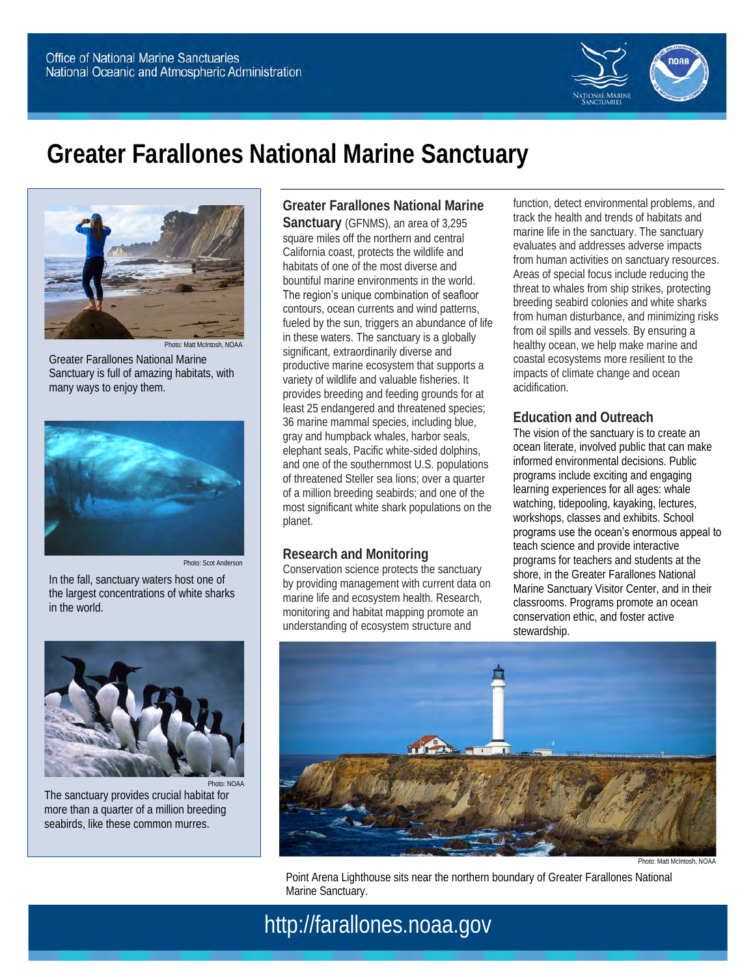

# **Greater Farallones National Marine Sanctuary**



Photo: Matt McIntosh, NOAA Greater Farallones National Marine Sanctuary is full of amazing habitats, with many ways to enjoy them.



In the fall, sanctuary waters host one of the largest concentrations of white sharks in the world.



Photo: NOAA The sanctuary provides crucial habitat for more than a quarter of a million breeding seabirds, like these common murres.

**Greater Farallones National Marine Sanctuary** (GFNMS), an area of 3,295 square miles off the northern and central California coast, protects the wildlife and habitats of one of the most diverse and bountiful marine environments in the world. The region's unique combination of seafloor contours, ocean currents and wind patterns, fueled by the sun, triggers an abundance of life in these waters. The sanctuary is a globally significant, extraordinarily diverse and productive marine ecosystem that supports a variety of wildlife and valuable fisheries. It provides breeding and feeding grounds for at least 25 endangered and threatened species; 36 marine mammal species, including blue, gray and humpback whales, harbor seals, elephant seals, Pacific white-sided dolphins, and one of the southernmost U.S. populations of threatened Steller sea lions; over a quarter of a million breeding seabirds; and one of the most significant white shark populations on the planet.

### **Research and Monitoring**

Conservation science protects the sanctuary by providing management with current data on marine life and ecosystem health. Research, monitoring and habitat mapping promote an understanding of ecosystem structure and

function, detect environmental problems, and track the health and trends of habitats and marine life in the sanctuary. The sanctuary evaluates and addresses adverse impacts from human activities on sanctuary resources. Areas of special focus include reducing the threat to whales from ship strikes, protecting breeding seabird colonies and white sharks from human disturbance, and minimizing risks from oil spills and vessels. By ensuring a healthy ocean, we help make marine and coastal ecosystems more resilient to the impacts of climate change and ocean acidification.

## **Education and Outreach**

The vision of the sanctuary is to create an ocean literate, involved public that can make informed environmental decisions. Public programs include exciting and engaging learning experiences for all ages: whale watching, tidepooling, kayaking, lectures, workshops, classes and exhibits. School programs use the ocean's enormous appeal to teach science and provide interactive programs for teachers and students at the shore, in the Greater Farallones National Marine Sanctuary Visitor Center, and in their classrooms. Programs promote an ocean conservation ethic, and foster active stewardship.



Photo: Matt McIntosh, NOAA

Point Arena Lighthouse sits near the northern boundary of Greater Farallones National Marine Sanctuary.

# http://farallones.noaa.gov